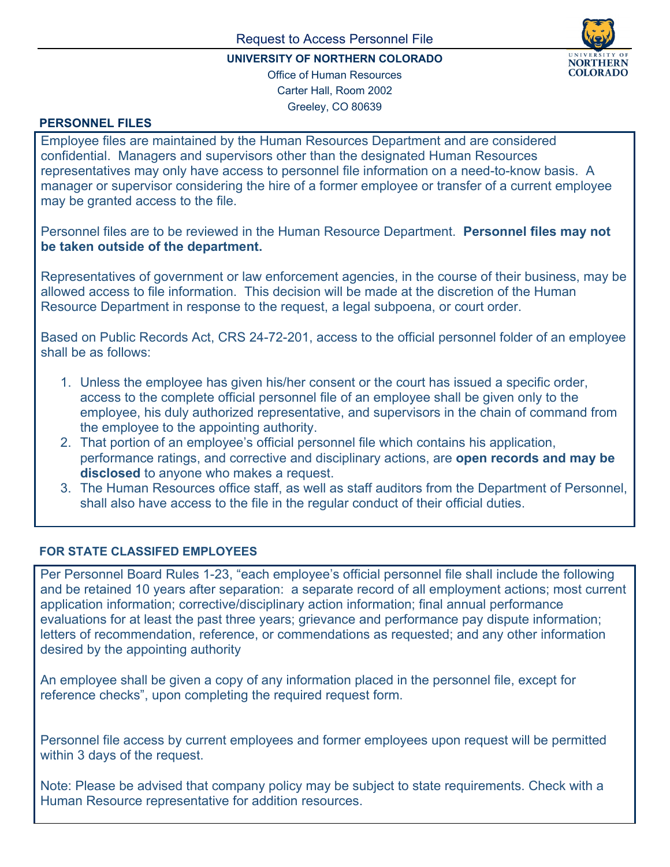

## **UNIVERSITY OF NORTHERN COLORADO**

Office of Human Resources Carter Hall, Room 2002 Greeley, CO 80639

## **PERSONNEL FILES**

Employee files are maintained by the Human Resources Department and are considered confidential. Managers and supervisors other than the designated Human Resources representatives may only have access to personnel file information on a need-to-know basis. A manager or supervisor considering the hire of a former employee or transfer of a current employee may be granted access to the file.

Personnel files are to be reviewed in the Human Resource Department. **Personnel files may not be taken outside of the department.**

Representatives of government or law enforcement agencies, in the course of their business, may be allowed access to file information. This decision will be made at the discretion of the Human Resource Department in response to the request, a legal subpoena, or court order.

Based on Public Records Act, CRS 24-72-201, access to the official personnel folder of an employee shall be as follows:

- 1. Unless the employee has given his/her consent or the court has issued a specific order, access to the complete official personnel file of an employee shall be given only to the employee, his duly authorized representative, and supervisors in the chain of command from the employee to the appointing authority.
- 2. That portion of an employee's official personnel file which contains his application, performance ratings, and corrective and disciplinary actions, are **open records and may be disclosed** to anyone who makes a request.
- 3. The Human Resources office staff, as well as staff auditors from the Department of Personnel, shall also have access to the file in the regular conduct of their official duties.

## **FOR STATE CLASSIFED EMPLOYEES**

Per Personnel Board Rules 1-23, "each employee's official personnel file shall include the following and be retained 10 years after separation: a separate record of all employment actions; most current application information; corrective/disciplinary action information; final annual performance evaluations for at least the past three years; grievance and performance pay dispute information; letters of recommendation, reference, or commendations as requested; and any other information desired by the appointing authority

An employee shall be given a copy of any information placed in the personnel file, except for reference checks", upon completing the required request form.

Personnel file access by current employees and former employees upon request will be permitted within 3 days of the request.

Note: Please be advised that company policy may be subject to state requirements. Check with a Human Resource representative for addition resources.